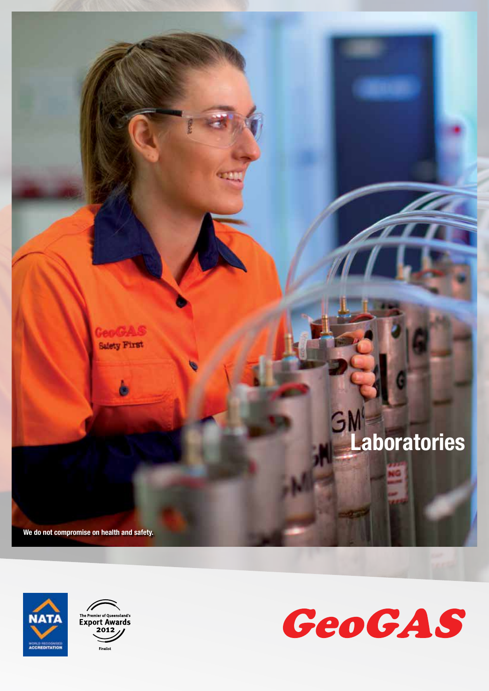





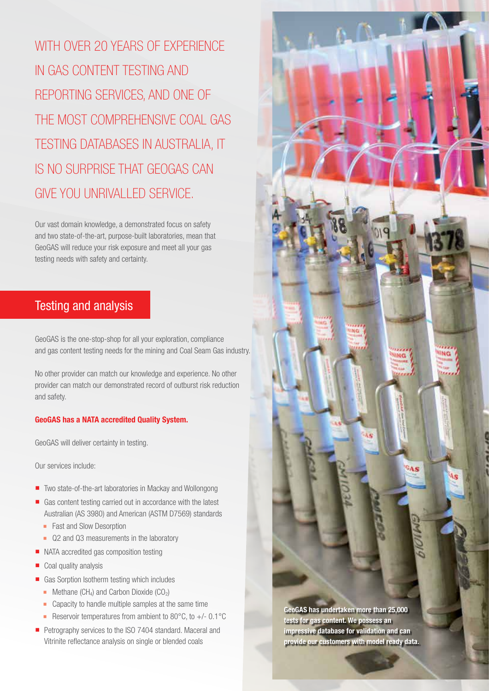WITH OVER 20 YEARS OF EXPERIENCE in GAS content teStinG And reportinG ServiceS, And one of the moSt comprehenSive coAl GAS teStinG dAtAbASeS in AuStrAliA, it iS no SurpriSe thAt GeoGAS cAn Give you unrivAlled Service.

Our vast domain knowledge, a demonstrated focus on safety and two state-of-the-art, purpose-built laboratories, mean that GeoGAS will reduce your risk exposure and meet all your gas testing needs with safety and certainty.

### Testing and analysis

GeoGAS is the one-stop-shop for all your exploration, compliance and gas content testing needs for the mining and Coal Seam Gas industry.

No other provider can match our knowledge and experience. No other provider can match our demonstrated record of outburst risk reduction and safety.

#### GeoGAS has a NATA accredited Quality System.

GeoGAS will deliver certainty in testing.

Our services include:

- Two state-of-the-art laboratories in Mackay and Wollongong
- Gas content testing carried out in accordance with the latest Australian (AS 3980) and American (ASTM D7569) standards
	- Fast and Slow Desorption
	- Q2 and Q3 measurements in the laboratory
- NATA accredited gas composition testing
- Coal quality analysis
- Gas Sorption Isotherm testing which includes
	- $\blacksquare$  Methane (CH<sub>4</sub>) and Carbon Dioxide (CO<sub>2</sub>)
	- Capacity to handle multiple samples at the same time
	- Reservoir temperatures from ambient to 80°C, to +/- 0.1°C
- Petrography services to the ISO 7404 standard. Maceral and Vitrinite reflectance analysis on single or blended coals

GeoGAS has undertaken more than 25,000 tests for gas content. We possess an impressive database for validation and can provide our customers with model ready data. No

ING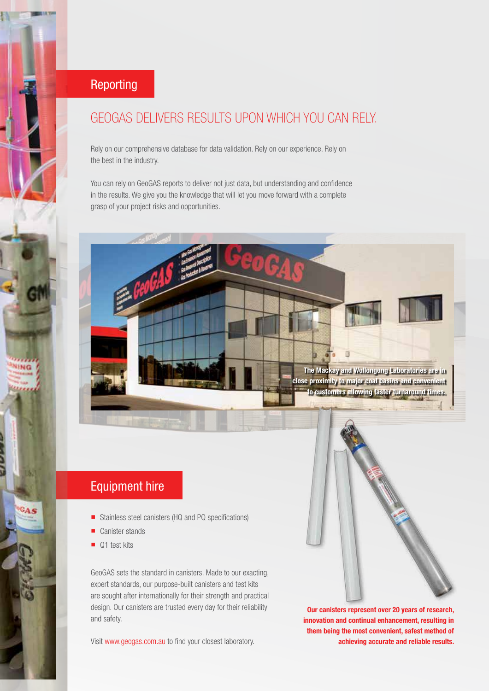## Reporting

# GeoGAS deliverS reSultS upon which you cAn rely.

Rely on our comprehensive database for data validation. Rely on our experience. Rely on the best in the industry.

You can rely on GeoGAS reports to deliver not just data, but understanding and confidence in the results. We give you the knowledge that will let you move forward with a complete grasp of your project risks and opportunities.



# Equipment hire

- Stainless steel canisters (HQ and PQ specifications)
- Canister stands
- Q1 test kits

**Like Po** 

 $a<sub>A</sub>$ 

GeoGAS sets the standard in canisters. Made to our exacting, expert standards, our purpose-built canisters and test kits are sought after internationally for their strength and practical design. Our canisters are trusted every day for their reliability and safety.

Visit www.geogas.com.au to find your closest laboratory.



Our canisters represent over 20 years of research, innovation and continual enhancement, resulting in them being the most convenient, safest method of achieving accurate and reliable results.